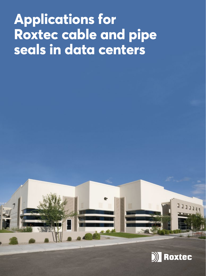# **Applications for Roxtec cable and pipe seals in data centers**

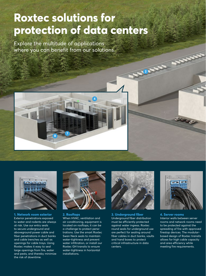## **Roxtec solutions for protection of data centers**

Explore the multitude of applications where you can benefit from our solutions.





**1. Network room exterior** Exterior penetrations exposed to water and rodents are always at risk. Use our entry seals to secure underground and aboveground power cable and fiber penetrations in duct banks and cable trenches as well as openings for cable trays. Using Roxtec makes it easy to seal large openings from fire, water and pests, and thereby minimize the risk of downtime.



#### **2. Rooftops**

When HVAC, ventilation and air conditioning, equipment is located on rooftops, it can be a challenge to protect penetrations. Use the smart Roxtec Swan Neck seals to maintain water-tightness and prevent water infiltration, or install our Roxtec GH transits to ensure water-tightness in horizontal installations.



**3. Underground fiber** Underground fiber distribution must be efficiently protected against water ingress. Roxtec round seals for underground use are perfect for sealing around fiber cables in duct banks, vaults and hand boxes to protect critical infrastructure in data centers.



**STARS** 

**4. Server rooms** Interior walls between server rooms and network rooms need to be protected against the spreading of fire with approved firestop devices. The modularbased design of Roxtec transits allows for high cable capacity and area efficiency while meeting fire requirements.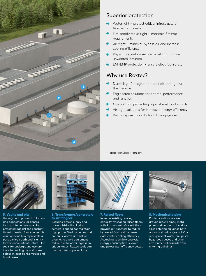

### Superior protection

- O Watertight protect critical infrastructure from water ingress
- O Fire-proof/smoke-tight maintain firestop requirements
- O Air-tight minimize bypass air and increase cooling efficiency
- O Physical security secure penetrations from unwanted intrusion
- O EMI/EMP protection ensure electrical safety

### Why use Roxtec?

- O Durability of design and materials throughout the lifecycle
- O Engineered solutions for optimal performance and function
- O One solution protecting against multiple hazards
- O Air-tight solutions for increased energy efficiency
- O Built-in spare capacity for future upgrades

[roxtec.com/datacenters](http://www.roxtec.com/datacenters)



**5. Vaults and pits** Underground power distribution and connections for generators in data centers must be protected against the constant threat of water. Every cable pit/ vault or hand box represents a possible leak path and is a risk for the entire infrastructure. Our seals for underground use are ideal for sealing around power cables in duct banks, vaults and hand boxes.



#### **6. Transformers/generators to switchgear**

Securing power supply and power distribution in data centers is critical for maintaining uptime. Seal cable bus and conduits, above and below ground, to avoid equipment failure due to water ingress. In critical areas, Roxtec seals can also be used to prevent fire.



**7. Raised floors** Increase existing cooling capacity by sealing raised floors with Roxtec seals. Our solutions provide air-tightness to reduce bypass airflow and increase data center cooling efficiency. According to airflow analysis, energy consumption is lower and power user efficiency better.



**8. Mechanical piping** Roxtec solutions are used around plastic pipes, metal pipes and conduits of various sizes entering buildings both above and below ground. Our seals prevent water, fire, pests, hazardous gases and other environmental hazards from entering buildings.